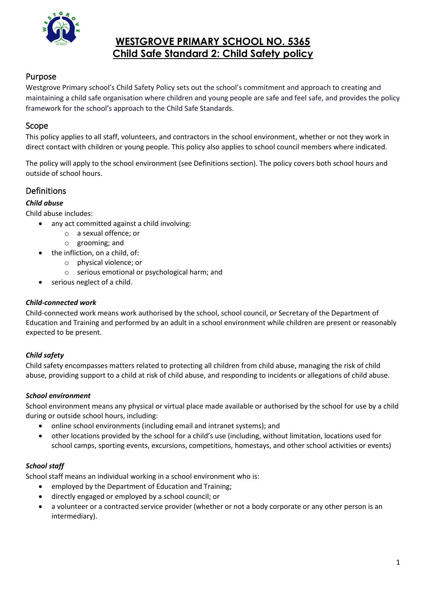

# **WESTGROVE PRIMARY SCHOOL NO. 5365 Child Safe Standard 2: Child Safety policy**

# Purpose

Westgrove Primary school's Child Safety Policy sets out the school's commitment and approach to creating and maintaining a child safe organisation where children and young people are safe and feel safe, and provides the policy framework for the school's approach to the Child Safe Standards.

### Scope

This policy applies to all staff, volunteers, and contractors in the school environment, whether or not they work in direct contact with children or young people. This policy also applies to school council members where indicated.

The policy will apply to the school environment (see Definitions section). The policy covers both school hours and outside of school hours.

# Definitions

#### *Child abuse*

Child abuse includes:

- any act committed against a child involving:
	- o a sexual offence; or
	- o grooming; and
- the infliction, on a child, of:
	- o physical violence; or
	- o serious emotional or psychological harm; and
- serious neglect of a child.

#### *Child-connected work*

Child-connected work means work authorised by the school, school council, or Secretary of the Department of Education and Training and performed by an adult in a school environment while children are present or reasonably expected to be present.

#### *Child safety*

Child safety encompasses matters related to protecting all children from child abuse, managing the risk of child abuse, providing support to a child at risk of child abuse, and responding to incidents or allegations of child abuse.

#### *School environment*

School environment means any physical or virtual place made available or authorised by the school for use by a child during or outside school hours, including:

- online school environments (including email and intranet systems); and
- other locations provided by the school for a child's use (including, without limitation, locations used for school camps, sporting events, excursions, competitions, homestays, and other school activities or events)

#### *School staff*

School staff means an individual working in a school environment who is:

- employed by the Department of Education and Training;
- directly engaged or employed by a school council; or
- a volunteer or a contracted service provider (whether or not a body corporate or any other person is an intermediary).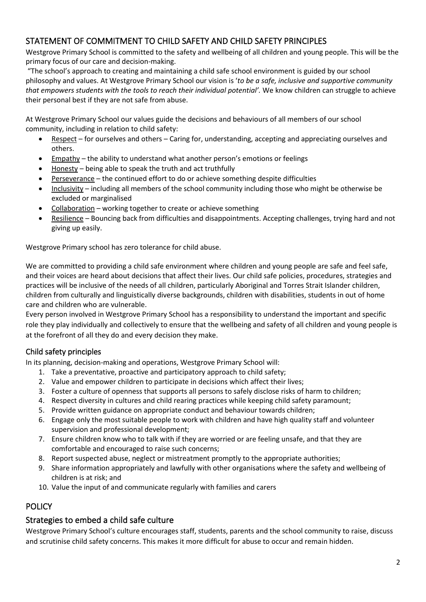# STATEMENT OF COMMITMENT TO CHILD SAFETY AND CHILD SAFETY PRINCIPLES

Westgrove Primary School is committed to the safety and wellbeing of all children and young people. This will be the primary focus of our care and decision-making.

"The school's approach to creating and maintaining a child safe school environment is guided by our school philosophy and values. At Westgrove Primary School our vision is '*to be a safe, inclusive and supportive community that empowers students with the tools to reach their individual potential'.* We know children can struggle to achieve their personal best if they are not safe from abuse.

At Westgrove Primary School our values guide the decisions and behaviours of all members of our school community, including in relation to child safety:

- Respect for ourselves and others Caring for, understanding, accepting and appreciating ourselves and others.
- Empathy the ability to understand what another person's emotions or feelings
- Honesty being able to speak the truth and act truthfully
- Perseverance the continued effort to do or achieve something despite difficulties
- Inclusivity including all members of the school community including those who might be otherwise be excluded or marginalised
- Collaboration working together to create or achieve something
- Resilience Bouncing back from difficulties and disappointments. Accepting challenges, trying hard and not giving up easily.

Westgrove Primary school has zero tolerance for child abuse.

We are committed to providing a child safe environment where children and young people are safe and feel safe, and their voices are heard about decisions that affect their lives. Our child safe policies, procedures, strategies and practices will be inclusive of the needs of all children, particularly Aboriginal and Torres Strait Islander children, children from culturally and linguistically diverse backgrounds, children with disabilities, students in out of home care and children who are vulnerable.

Every person involved in Westgrove Primary School has a responsibility to understand the important and specific role they play individually and collectively to ensure that the wellbeing and safety of all children and young people is at the forefront of all they do and every decision they make.

# Child safety principles

In its planning, decision-making and operations, Westgrove Primary School will:

- 1. Take a preventative, proactive and participatory approach to child safety;
- 2. Value and empower children to participate in decisions which affect their lives;
- 3. Foster a culture of openness that supports all persons to safely disclose risks of harm to children;
- 4. Respect diversity in cultures and child rearing practices while keeping child safety paramount;
- 5. Provide written guidance on appropriate conduct and behaviour towards children;
- 6. Engage only the most suitable people to work with children and have high quality staff and volunteer supervision and professional development;
- 7. Ensure children know who to talk with if they are worried or are feeling unsafe, and that they are comfortable and encouraged to raise such concerns;
- 8. Report suspected abuse, neglect or mistreatment promptly to the appropriate authorities;
- 9. Share information appropriately and lawfully with other organisations where the safety and wellbeing of children is at risk; and
- 10. Value the input of and communicate regularly with families and carers

# **POLICY**

# Strategies to embed a child safe culture

Westgrove Primary School's culture encourages staff, students, parents and the school community to raise, discuss and scrutinise child safety concerns. This makes it more difficult for abuse to occur and remain hidden.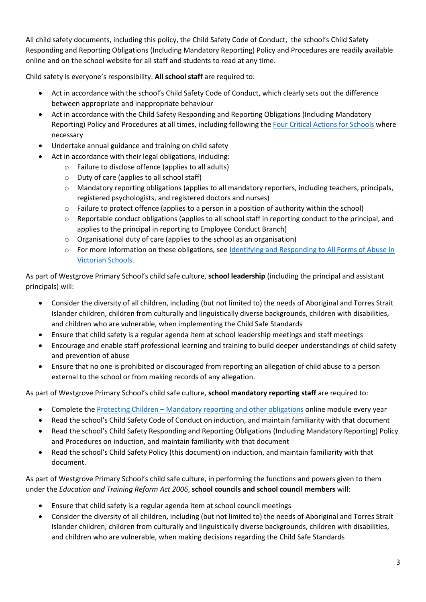All child safety documents, including this policy, the Child Safety Code of Conduct, the school's Child Safety Responding and Reporting Obligations (Including Mandatory Reporting) Policy and Procedures are readily available online and on the school website for all staff and students to read at any time.

Child safety is everyone's responsibility. **All school staff** are required to:

- Act in accordance with the school's Child Safety Code of Conduct, which clearly sets out the difference between appropriate and inappropriate behaviour
- Act in accordance with the Child Safety Responding and Reporting Obligations (Including Mandatory Reporting) Policy and Procedures at all times, including following th[e Four Critical Actions for Schools](https://www.education.vic.gov.au/Documents/about/programs/health/protect/FourCriticalActions_ChildAbuse.pdf) where necessary
- Undertake annual guidance and training on child safety
- Act in accordance with their legal obligations, including:
	- o Failure to disclose offence (applies to all adults)
	- o Duty of care (applies to all school staff)
	- o Mandatory reporting obligations (applies to all mandatory reporters, including teachers, principals, registered psychologists, and registered doctors and nurses)
	- $\circ$  Failure to protect offence (applies to a person in a position of authority within the school)
	- o Reportable conduct obligations (applies to all school staff in reporting conduct to the principal, and applies to the principal in reporting to Employee Conduct Branch)
	- o Organisational duty of care (applies to the school as an organisation)
	- o For more information on these obligations, see [Identifying and Responding to All Forms of Abuse in](https://www.education.vic.gov.au/Documents/about/programs/health/protect/ChildSafeStandard5_SchoolsGuide.pdf)  [Victorian Schools.](https://www.education.vic.gov.au/Documents/about/programs/health/protect/ChildSafeStandard5_SchoolsGuide.pdf)

As part of Westgrove Primary School's child safe culture, **school leadership** (including the principal and assistant principals) will:

- Consider the diversity of all children, including (but not limited to) the needs of Aboriginal and Torres Strait Islander children, children from culturally and linguistically diverse backgrounds, children with disabilities, and children who are vulnerable, when implementing the Child Safe Standards
- Ensure that child safety is a regular agenda item at school leadership meetings and staff meetings
- Encourage and enable staff professional learning and training to build deeper understandings of child safety and prevention of abuse
- Ensure that no one is prohibited or discouraged from reporting an allegation of child abuse to a person external to the school or from making records of any allegation.

As part of Westgrove Primary School's child safe culture, **school mandatory reporting staff** are required to:

- Complete the Protecting Children [Mandatory reporting and other obligations](http://elearn.com.au/det/protectingchildren/) online module every year
- Read the school's Child Safety Code of Conduct on induction, and maintain familiarity with that document
- Read the school's Child Safety Responding and Reporting Obligations (Including Mandatory Reporting) Policy and Procedures on induction, and maintain familiarity with that document
- Read the school's Child Safety Policy (this document) on induction, and maintain familiarity with that document.

As part of Westgrove Primary School's child safe culture, in performing the functions and powers given to them under the *Education and Training Reform Act 2006*, **school councils and school council members** will:

- Ensure that child safety is a regular agenda item at school council meetings
- Consider the diversity of all children, including (but not limited to) the needs of Aboriginal and Torres Strait Islander children, children from culturally and linguistically diverse backgrounds, children with disabilities, and children who are vulnerable, when making decisions regarding the Child Safe Standards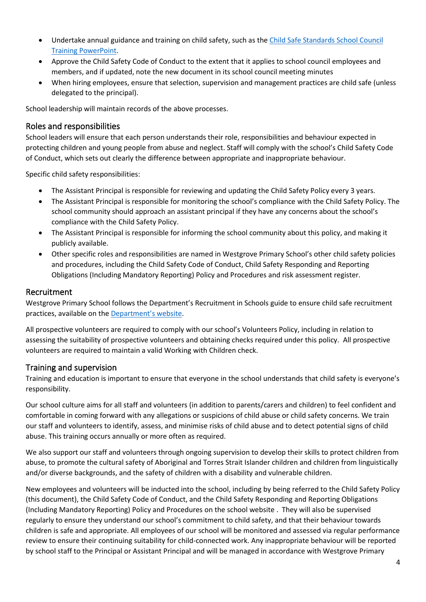- Undertake annual guidance and training on child safety, such as th[e Child Safe Standards School Council](https://www.education.vic.gov.au/Documents/about/programs/health/protect/school-council-training.pptx)  Training [PowerPoint.](https://www.education.vic.gov.au/Documents/about/programs/health/protect/school-council-training.pptx)
- Approve the Child Safety Code of Conduct to the extent that it applies to school council employees and members, and if updated, note the new document in its school council meeting minutes
- When hiring employees, ensure that selection, supervision and management practices are child safe (unless delegated to the principal).

School leadership will maintain records of the above processes.

### Roles and responsibilities

School leaders will ensure that each person understands their role, responsibilities and behaviour expected in protecting children and young people from abuse and neglect. Staff will comply with the school's Child Safety Code of Conduct, which sets out clearly the difference between appropriate and inappropriate behaviour.

Specific child safety responsibilities:

- The Assistant Principal is responsible for reviewing and updating the Child Safety Policy every 3 years.
- The Assistant Principal is responsible for monitoring the school's compliance with the Child Safety Policy. The school community should approach an assistant principal if they have any concerns about the school's compliance with the Child Safety Policy.
- The Assistant Principal is responsible for informing the school community about this policy, and making it publicly available.
- Other specific roles and responsibilities are named in Westgrove Primary School's other child safety policies and procedures, including the Child Safety Code of Conduct, Child Safety Responding and Reporting Obligations (Including Mandatory Reporting) Policy and Procedures and risk assessment register.

#### Recruitment

Westgrove Primary School follows the Department's Recruitment in Schools guide to ensure child safe recruitment practices, available on the [Department'](https://www.education.vic.gov.au/hrweb/careers/Pages/recruitinsch.aspx)s website.

All prospective volunteers are required to comply with our school's Volunteers Policy, including in relation to assessing the suitability of prospective volunteers and obtaining checks required under this policy. All prospective volunteers are required to maintain a valid Working with Children check.

# Training and supervision

Training and education is important to ensure that everyone in the school understands that child safety is everyone's responsibility.

Our school culture aims for all staff and volunteers (in addition to parents/carers and children) to feel confident and comfortable in coming forward with any allegations or suspicions of child abuse or child safety concerns. We train our staff and volunteers to identify, assess, and minimise risks of child abuse and to detect potential signs of child abuse. This training occurs annually or more often as required.

We also support our staff and volunteers through ongoing supervision to develop their skills to protect children from abuse, to promote the cultural safety of Aboriginal and Torres Strait Islander children and children from linguistically and/or diverse backgrounds, and the safety of children with a disability and vulnerable children.

New employees and volunteers will be inducted into the school, including by being referred to the Child Safety Policy (this document), the Child Safety Code of Conduct, and the Child Safety Responding and Reporting Obligations (Including Mandatory Reporting) Policy and Procedures on the school website . They will also be supervised regularly to ensure they understand our school's commitment to child safety, and that their behaviour towards children is safe and appropriate. All employees of our school will be monitored and assessed via regular performance review to ensure their continuing suitability for child-connected work. Any inappropriate behaviour will be reported by school staff to the Principal or Assistant Principal and will be managed in accordance with Westgrove Primary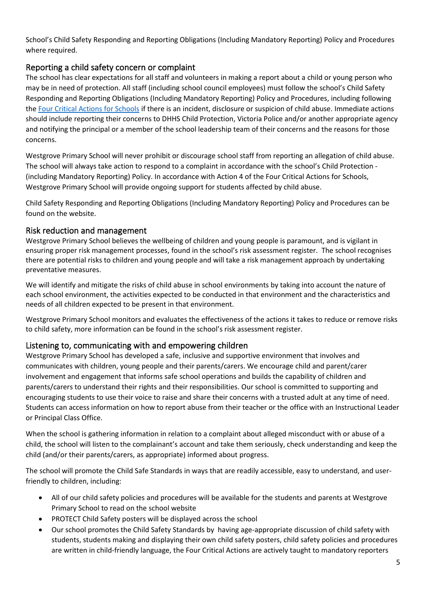School's Child Safety Responding and Reporting Obligations (Including Mandatory Reporting) Policy and Procedures where required.

# Reporting a child safety concern or complaint

The school has clear expectations for all staff and volunteers in making a report about a child or young person who may be in need of protection. All staff (including school council employees) must follow the school's Child Safety Responding and Reporting Obligations (Including Mandatory Reporting) Policy and Procedures, including following the [Four Critical Actions for Schools](https://www.education.vic.gov.au/Documents/about/programs/health/protect/FourCriticalActions_ChildAbuse.pdf) if there is an incident, disclosure or suspicion of child abuse. Immediate actions should include reporting their concerns to DHHS Child Protection, Victoria Police and/or another appropriate agency and notifying the principal or a member of the school leadership team of their concerns and the reasons for those concerns.

Westgrove Primary School will never prohibit or discourage school staff from reporting an allegation of child abuse. The school will always take action to respond to a complaint in accordance with the school's Child Protection - (including Mandatory Reporting) Policy. In accordance with Action 4 of the Four Critical Actions for Schools, Westgrove Primary School will provide ongoing support for students affected by child abuse.

Child Safety Responding and Reporting Obligations (Including Mandatory Reporting) Policy and Procedures can be found on the website.

# Risk reduction and management

Westgrove Primary School believes the wellbeing of children and young people is paramount, and is vigilant in ensuring proper risk management processes, found in the school's risk assessment register. The school recognises there are potential risks to children and young people and will take a risk management approach by undertaking preventative measures.

We will identify and mitigate the risks of child abuse in school environments by taking into account the nature of each school environment, the activities expected to be conducted in that environment and the characteristics and needs of all children expected to be present in that environment.

Westgrove Primary School monitors and evaluates the effectiveness of the actions it takes to reduce or remove risks to child safety, more information can be found in the school's risk assessment register.

# Listening to, communicating with and empowering children

Westgrove Primary School has developed a safe, inclusive and supportive environment that involves and communicates with children, young people and their parents/carers. We encourage child and parent/carer involvement and engagement that informs safe school operations and builds the capability of children and parents/carers to understand their rights and their responsibilities. Our school is committed to supporting and encouraging students to use their voice to raise and share their concerns with a trusted adult at any time of need. Students can access information on how to report abuse from their teacher or the office with an Instructional Leader or Principal Class Office.

When the school is gathering information in relation to a complaint about alleged misconduct with or abuse of a child, the school will listen to the complainant's account and take them seriously, check understanding and keep the child (and/or their parents/carers, as appropriate) informed about progress.

The school will promote the Child Safe Standards in ways that are readily accessible, easy to understand, and userfriendly to children, including:

- All of our child safety policies and procedures will be available for the students and parents at Westgrove Primary School to read on the school website
- PROTECT Child Safety posters will be displayed across the school
- Our school promotes the Child Safety Standards by having age-appropriate discussion of child safety with students, students making and displaying their own child safety posters, child safety policies and procedures are written in child-friendly language, the Four Critical Actions are actively taught to mandatory reporters